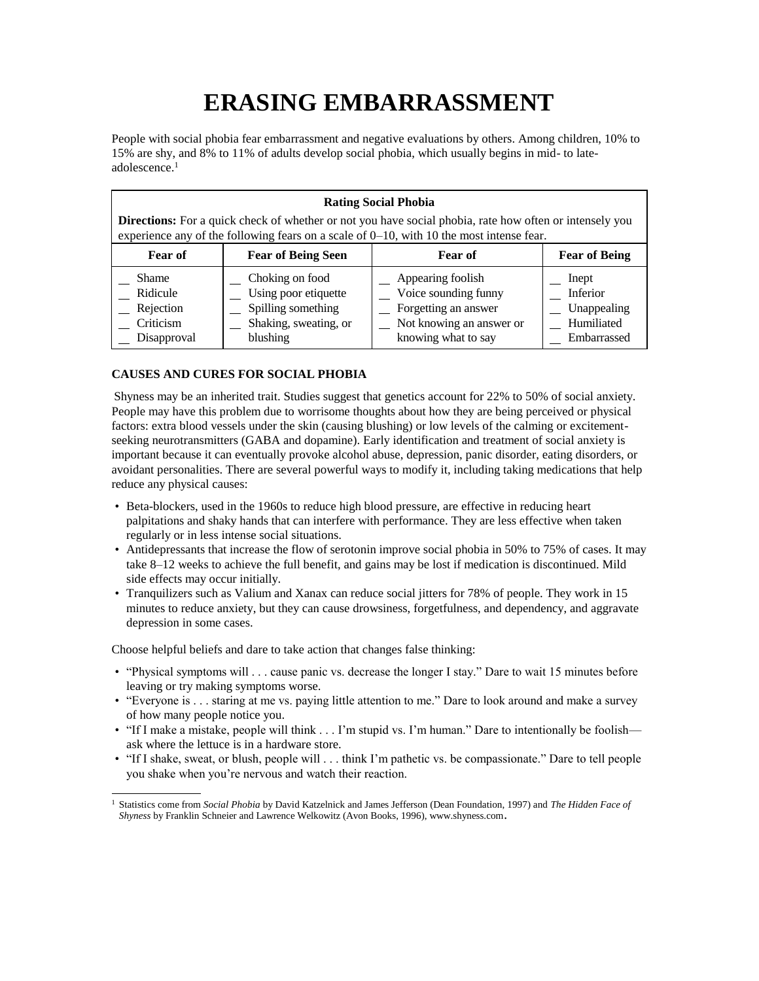## **ERASING EMBARRASSMENT**

People with social phobia fear embarrassment and negative evaluations by others. Among children, 10% to 15% are shy, and 8% to 11% of adults develop social phobia, which usually begins in mid- to lateadolescence.<sup>1</sup>

## **Rating Social Phobia**

**Directions:** For a quick check of whether or not you have social phobia, rate how often or intensely you experience any of the following fears on a scale of 0–10, with 10 the most intense fear.

| <b>Fear of</b> | <b>Fear of Being Seen</b> | <b>Fear of</b>           | <b>Fear of Being</b> |
|----------------|---------------------------|--------------------------|----------------------|
| <b>Shame</b>   | Choking on food           | Appearing foolish        | Inept                |
| Ridicule       | Using poor etiquette      | Voice sounding funny     | Inferior             |
| Rejection      | Spilling something        | Forgetting an answer     | Unappealing          |
| Criticism      | Shaking, sweating, or     | Not knowing an answer or | Humiliated           |
| Disapproval    | blushing                  | knowing what to say      | Embarrassed          |

## **CAUSES AND CURES FOR SOCIAL PHOBIA**

Shyness may be an inherited trait. Studies suggest that genetics account for 22% to 50% of social anxiety. People may have this problem due to worrisome thoughts about how they are being perceived or physical factors: extra blood vessels under the skin (causing blushing) or low levels of the calming or excitementseeking neurotransmitters (GABA and dopamine). Early identification and treatment of social anxiety is important because it can eventually provoke alcohol abuse, depression, panic disorder, eating disorders, or avoidant personalities. There are several powerful ways to modify it, including taking medications that help reduce any physical causes:

- Beta-blockers, used in the 1960s to reduce high blood pressure, are effective in reducing heart palpitations and shaky hands that can interfere with performance. They are less effective when taken regularly or in less intense social situations.
- Antidepressants that increase the flow of serotonin improve social phobia in 50% to 75% of cases. It may take 8–12 weeks to achieve the full benefit, and gains may be lost if medication is discontinued. Mild side effects may occur initially.
- Tranquilizers such as Valium and Xanax can reduce social jitters for 78% of people. They work in 15 minutes to reduce anxiety, but they can cause drowsiness, forgetfulness, and dependency, and aggravate depression in some cases.

Choose helpful beliefs and dare to take action that changes false thinking:

- "Physical symptoms will . . . cause panic vs. decrease the longer I stay." Dare to wait 15 minutes before leaving or try making symptoms worse.
- "Everyone is . . . staring at me vs. paying little attention to me." Dare to look around and make a survey of how many people notice you.
- "If I make a mistake, people will think . . . I'm stupid vs. I'm human." Dare to intentionally be foolish ask where the lettuce is in a hardware store.
- "If I shake, sweat, or blush, people will . . . think I'm pathetic vs. be compassionate." Dare to tell people you shake when you're nervous and watch their reaction.

<sup>1</sup> Statistics come from *Social Phobia* by David Katzelnick and James Jefferson (Dean Foundation, 1997) and *The Hidden Face of Shyness* by Franklin Schneier and Lawrence Welkowitz (Avon Books, 1996), www.shyness.com.